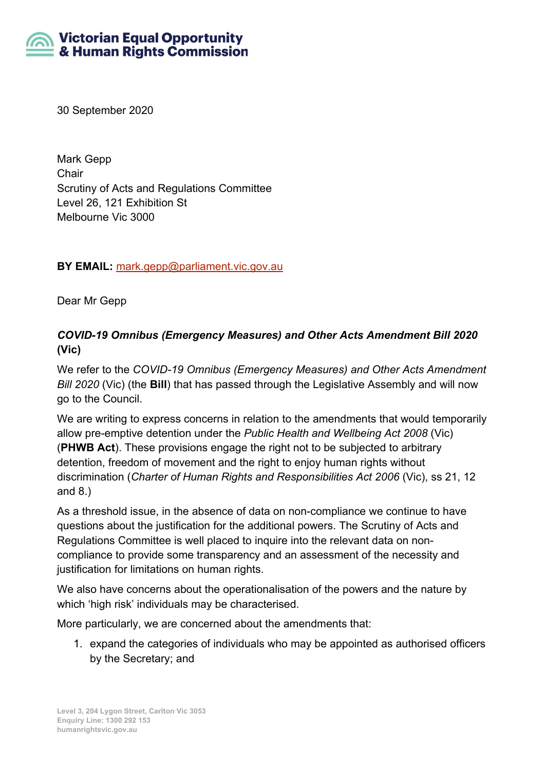# **Victorian Equal Opportunity** & Human Rights Commission

30 September 2020

Mark Gepp **Chair** Scrutiny of Acts and Regulations Committee Level 26, 121 Exhibition St Melbourne Vic 3000

**BY EMAIL:** [mark.gepp@parliament.vic.gov.au](mailto:mark.gepp@parliament.vic.gov.au)

Dear Mr Gepp

# *COVID-19 Omnibus (Emergency Measures) and Other Acts Amendment Bill 2020*  **(Vic)**

We refer to the *COVID-19 Omnibus (Emergency Measures) and Other Acts Amendment Bill 2020* (Vic) (the **Bill**) that has passed through the Legislative Assembly and will now go to the Council.

We are writing to express concerns in relation to the amendments that would temporarily allow pre-emptive detention under the *Public Health and Wellbeing Act 2008* (Vic) (**PHWB Act**). These provisions engage the right not to be subjected to arbitrary detention, freedom of movement and the right to enjoy human rights without discrimination (*Charter of Human Rights and Responsibilities Act 2006* (Vic), ss 21, 12 and 8.)

As a threshold issue, in the absence of data on non-compliance we continue to have questions about the justification for the additional powers. The Scrutiny of Acts and Regulations Committee is well placed to inquire into the relevant data on noncompliance to provide some transparency and an assessment of the necessity and justification for limitations on human rights.

We also have concerns about the operationalisation of the powers and the nature by which 'high risk' individuals may be characterised.

More particularly, we are concerned about the amendments that:

1. expand the categories of individuals who may be appointed as authorised officers by the Secretary; and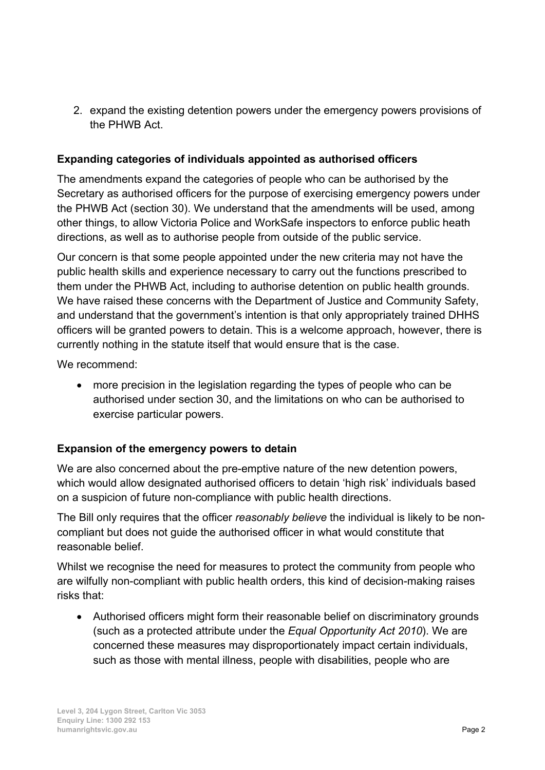2. expand the existing detention powers under the emergency powers provisions of the PHWB Act.

### **Expanding categories of individuals appointed as authorised officers**

The amendments expand the categories of people who can be authorised by the Secretary as authorised officers for the purpose of exercising emergency powers under the PHWB Act (section 30). We understand that the amendments will be used, among other things, to allow Victoria Police and WorkSafe inspectors to enforce public heath directions, as well as to authorise people from outside of the public service.

Our concern is that some people appointed under the new criteria may not have the public health skills and experience necessary to carry out the functions prescribed to them under the PHWB Act, including to authorise detention on public health grounds. We have raised these concerns with the Department of Justice and Community Safety, and understand that the government's intention is that only appropriately trained DHHS officers will be granted powers to detain. This is a welcome approach, however, there is currently nothing in the statute itself that would ensure that is the case.

We recommend:

• more precision in the legislation regarding the types of people who can be authorised under section 30, and the limitations on who can be authorised to exercise particular powers.

#### **Expansion of the emergency powers to detain**

We are also concerned about the pre-emptive nature of the new detention powers, which would allow designated authorised officers to detain 'high risk' individuals based on a suspicion of future non-compliance with public health directions.

The Bill only requires that the officer *reasonably believe* the individual is likely to be noncompliant but does not guide the authorised officer in what would constitute that reasonable belief.

Whilst we recognise the need for measures to protect the community from people who are wilfully non-compliant with public health orders, this kind of decision-making raises risks that:

• Authorised officers might form their reasonable belief on discriminatory grounds (such as a protected attribute under the *Equal Opportunity Act 2010*). We are concerned these measures may disproportionately impact certain individuals, such as those with mental illness, people with disabilities, people who are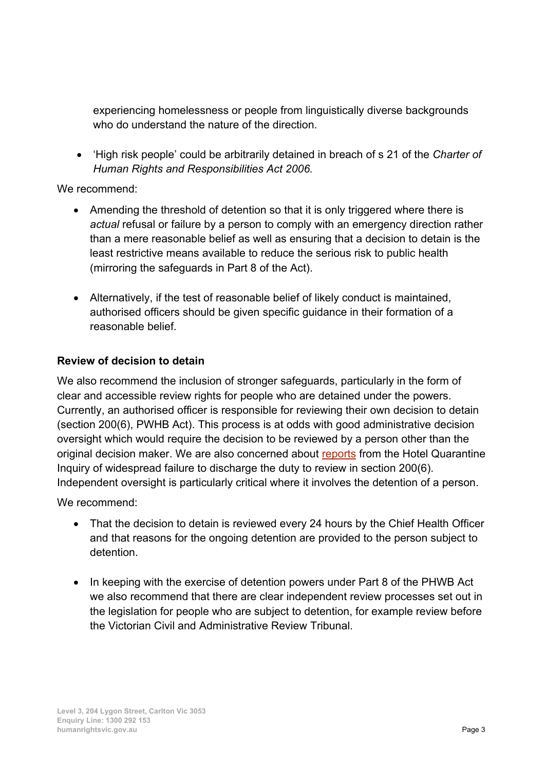experiencing homelessness or people from linguistically diverse backgrounds who do understand the nature of the direction.

• 'High risk people' could be arbitrarily detained in breach of s 21 of the *Charter of Human Rights and Responsibilities Act 2006.*

We recommend:

- Amending the threshold of detention so that it is only triggered where there is *actual* refusal or failure by a person to comply with an emergency direction rather than a mere reasonable belief as well as ensuring that a decision to detain is the least restrictive means available to reduce the serious risk to public health (mirroring the safeguards in Part 8 of the Act).
- Alternatively, if the test of reasonable belief of likely conduct is maintained, authorised officers should be given specific guidance in their formation of a reasonable belief.

# **Review of decision to detain**

We also recommend the inclusion of stronger safeguards, particularly in the form of clear and accessible review rights for people who are detained under the powers. Currently, an authorised officer is responsible for reviewing their own decision to detain (section 200(6), PWHB Act). This process is at odds with good administrative decision oversight which would require the decision to be reviewed by a person other than the original decision maker. We are also concerned about [reports](https://www.theage.com.au/politics/victoria/health-department-may-have-broken-the-law-during-hotel-detention-20200929-p560d8.html) from the Hotel Quarantine Inquiry of widespread failure to discharge the duty to review in section 200(6). Independent oversight is particularly critical where it involves the detention of a person.

We recommend:

- That the decision to detain is reviewed every 24 hours by the Chief Health Officer and that reasons for the ongoing detention are provided to the person subject to detention.
- In keeping with the exercise of detention powers under Part 8 of the PHWB Act we also recommend that there are clear independent review processes set out in the legislation for people who are subject to detention, for example review before the Victorian Civil and Administrative Review Tribunal.